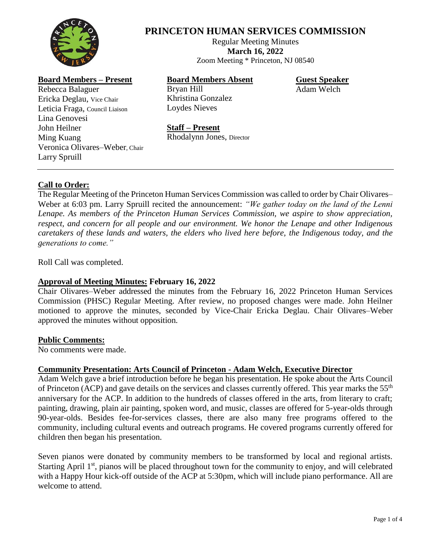

# **PRINCETON HUMAN SERVICES COMMISSION**

Regular Meeting Minutes **March 16, 2022** Zoom Meeting \* Princeton, NJ 08540

# **Board Members – Present**

Rebecca Balaguer Ericka Deglau, Vice Chair Leticia Fraga, Council Liaison Lina Genovesi John Heilner Ming Kuang Veronica Olivares–Weber, Chair Larry Spruill

# **Board Members Absent**

Bryan Hill Khristina Gonzalez Loydes Nieves

**Guest Speaker** Adam Welch

#### **Staff – Present**

Rhodalynn Jones, Director

# **Call to Order:**

The Regular Meeting of the Princeton Human Services Commission was called to order by Chair Olivares– Weber at 6:03 pm. Larry Spruill recited the announcement: *"We gather today on the land of the Lenni Lenape. As members of the Princeton Human Services Commission, we aspire to show appreciation, respect, and concern for all people and our environment. We honor the Lenape and other Indigenous caretakers of these lands and waters, the elders who lived here before, the Indigenous today, and the generations to come."*

Roll Call was completed.

# **Approval of Meeting Minutes: February 16, 2022**

Chair Olivares–Weber addressed the minutes from the February 16, 2022 Princeton Human Services Commission (PHSC) Regular Meeting. After review, no proposed changes were made. John Heilner motioned to approve the minutes, seconded by Vice-Chair Ericka Deglau. Chair Olivares–Weber approved the minutes without opposition.

#### **Public Comments:**

No comments were made.

# **Community Presentation: Arts Council of Princeton - Adam Welch, Executive Director**

Adam Welch gave a brief introduction before he began his presentation. He spoke about the Arts Council of Princeton (ACP) and gave details on the services and classes currently offered. This year marks the  $55<sup>th</sup>$ anniversary for the ACP. In addition to the hundreds of classes offered in the arts, from literary to craft; painting, drawing, plain air painting, spoken word, and music, classes are offered for 5-year-olds through 90-year-olds. Besides fee-for-services classes, there are also many free programs offered to the community, including cultural events and outreach programs. He covered programs currently offered for children then began his presentation.

Seven pianos were donated by community members to be transformed by local and regional artists. Starting April  $1<sup>st</sup>$ , pianos will be placed throughout town for the community to enjoy, and will celebrated with a Happy Hour kick-off outside of the ACP at 5:30pm, which will include piano performance. All are welcome to attend.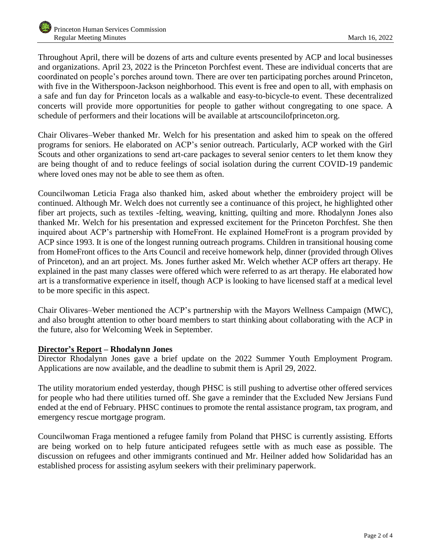Throughout April, there will be dozens of arts and culture events presented by ACP and local businesses and organizations. April 23, 2022 is the Princeton Porchfest event. These are individual concerts that are coordinated on people's porches around town. There are over ten participating porches around Princeton, with five in the Witherspoon-Jackson neighborhood. This event is free and open to all, with emphasis on a safe and fun day for Princeton locals as a walkable and easy-to-bicycle-to event. These decentralized concerts will provide more opportunities for people to gather without congregating to one space. A schedule of performers and their locations will be available at artscouncilofprinceton.org.

Chair Olivares–Weber thanked Mr. Welch for his presentation and asked him to speak on the offered programs for seniors. He elaborated on ACP's senior outreach. Particularly, ACP worked with the Girl Scouts and other organizations to send art-care packages to several senior centers to let them know they are being thought of and to reduce feelings of social isolation during the current COVID-19 pandemic where loved ones may not be able to see them as often.

Councilwoman Leticia Fraga also thanked him, asked about whether the embroidery project will be continued. Although Mr. Welch does not currently see a continuance of this project, he highlighted other fiber art projects, such as textiles -felting, weaving, knitting, quilting and more. Rhodalynn Jones also thanked Mr. Welch for his presentation and expressed excitement for the Princeton Porchfest. She then inquired about ACP's partnership with HomeFront. He explained HomeFront is a program provided by ACP since 1993. It is one of the longest running outreach programs. Children in transitional housing come from HomeFront offices to the Arts Council and receive homework help, dinner (provided through Olives of Princeton), and an art project. Ms. Jones further asked Mr. Welch whether ACP offers art therapy. He explained in the past many classes were offered which were referred to as art therapy. He elaborated how art is a transformative experience in itself, though ACP is looking to have licensed staff at a medical level to be more specific in this aspect.

Chair Olivares–Weber mentioned the ACP's partnership with the Mayors Wellness Campaign (MWC), and also brought attention to other board members to start thinking about collaborating with the ACP in the future, also for Welcoming Week in September.

# **Director's Report – Rhodalynn Jones**

Director Rhodalynn Jones gave a brief update on the 2022 Summer Youth Employment Program. Applications are now available, and the deadline to submit them is April 29, 2022.

The utility moratorium ended yesterday, though PHSC is still pushing to advertise other offered services for people who had there utilities turned off. She gave a reminder that the Excluded New Jersians Fund ended at the end of February. PHSC continues to promote the rental assistance program, tax program, and emergency rescue mortgage program.

Councilwoman Fraga mentioned a refugee family from Poland that PHSC is currently assisting. Efforts are being worked on to help future anticipated refugees settle with as much ease as possible. The discussion on refugees and other immigrants continued and Mr. Heilner added how Solidaridad has an established process for assisting asylum seekers with their preliminary paperwork.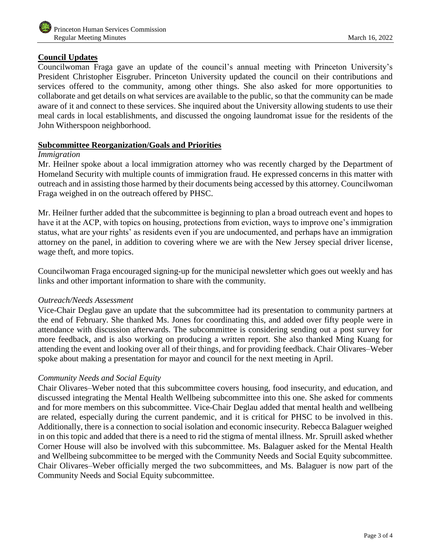# **Council Updates**

Councilwoman Fraga gave an update of the council's annual meeting with Princeton University's President Christopher Eisgruber. Princeton University updated the council on their contributions and services offered to the community, among other things. She also asked for more opportunities to collaborate and get details on what services are available to the public, so that the community can be made aware of it and connect to these services. She inquired about the University allowing students to use their meal cards in local establishments, and discussed the ongoing laundromat issue for the residents of the John Witherspoon neighborhood.

# **Subcommittee Reorganization/Goals and Priorities**

#### *Immigration*

Mr. Heilner spoke about a local immigration attorney who was recently charged by the Department of Homeland Security with multiple counts of immigration fraud. He expressed concerns in this matter with outreach and in assisting those harmed by their documents being accessed by this attorney. Councilwoman Fraga weighed in on the outreach offered by PHSC.

Mr. Heilner further added that the subcommittee is beginning to plan a broad outreach event and hopes to have it at the ACP, with topics on housing, protections from eviction, ways to improve one's immigration status, what are your rights' as residents even if you are undocumented, and perhaps have an immigration attorney on the panel, in addition to covering where we are with the New Jersey special driver license, wage theft, and more topics.

Councilwoman Fraga encouraged signing-up for the municipal newsletter which goes out weekly and has links and other important information to share with the community.

#### *Outreach/Needs Assessment*

Vice-Chair Deglau gave an update that the subcommittee had its presentation to community partners at the end of February. She thanked Ms. Jones for coordinating this, and added over fifty people were in attendance with discussion afterwards. The subcommittee is considering sending out a post survey for more feedback, and is also working on producing a written report. She also thanked Ming Kuang for attending the event and looking over all of their things, and for providing feedback. Chair Olivares–Weber spoke about making a presentation for mayor and council for the next meeting in April.

# *Community Needs and Social Equity*

Chair Olivares–Weber noted that this subcommittee covers housing, food insecurity, and education, and discussed integrating the Mental Health Wellbeing subcommittee into this one. She asked for comments and for more members on this subcommittee. Vice-Chair Deglau added that mental health and wellbeing are related, especially during the current pandemic, and it is critical for PHSC to be involved in this. Additionally, there is a connection to social isolation and economic insecurity. Rebecca Balaguer weighed in on this topic and added that there is a need to rid the stigma of mental illness. Mr. Spruill asked whether Corner House will also be involved with this subcommittee. Ms. Balaguer asked for the Mental Health and Wellbeing subcommittee to be merged with the Community Needs and Social Equity subcommittee. Chair Olivares–Weber officially merged the two subcommittees, and Ms. Balaguer is now part of the Community Needs and Social Equity subcommittee.